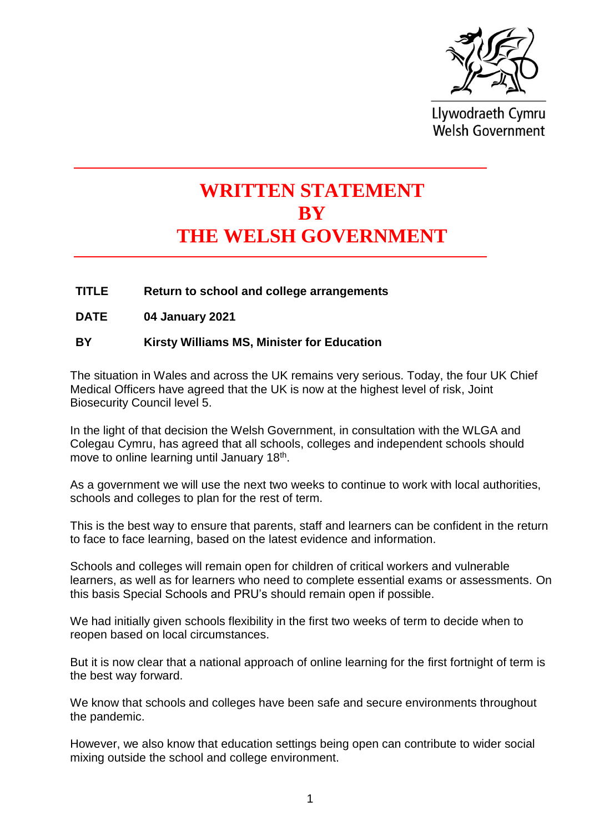

Llywodraeth Cymru **Welsh Government** 

## **WRITTEN STATEMENT BY THE WELSH GOVERNMENT**

**TITLE Return to school and college arrangements**

**DATE 04 January 2021**

## **BY Kirsty Williams MS, Minister for Education**

The situation in Wales and across the UK remains very serious. Today, the four UK Chief Medical Officers have agreed that the UK is now at the highest level of risk, Joint Biosecurity Council level 5.

In the light of that decision the Welsh Government, in consultation with the WLGA and Colegau Cymru, has agreed that all schools, colleges and independent schools should move to online learning until January 18<sup>th</sup>.

As a government we will use the next two weeks to continue to work with local authorities, schools and colleges to plan for the rest of term.

This is the best way to ensure that parents, staff and learners can be confident in the return to face to face learning, based on the latest evidence and information.

Schools and colleges will remain open for children of critical workers and vulnerable learners, as well as for learners who need to complete essential exams or assessments. On this basis Special Schools and PRU's should remain open if possible.

We had initially given schools flexibility in the first two weeks of term to decide when to reopen based on local circumstances.

But it is now clear that a national approach of online learning for the first fortnight of term is the best way forward.

We know that schools and colleges have been safe and secure environments throughout the pandemic.

However, we also know that education settings being open can contribute to wider social mixing outside the school and college environment.